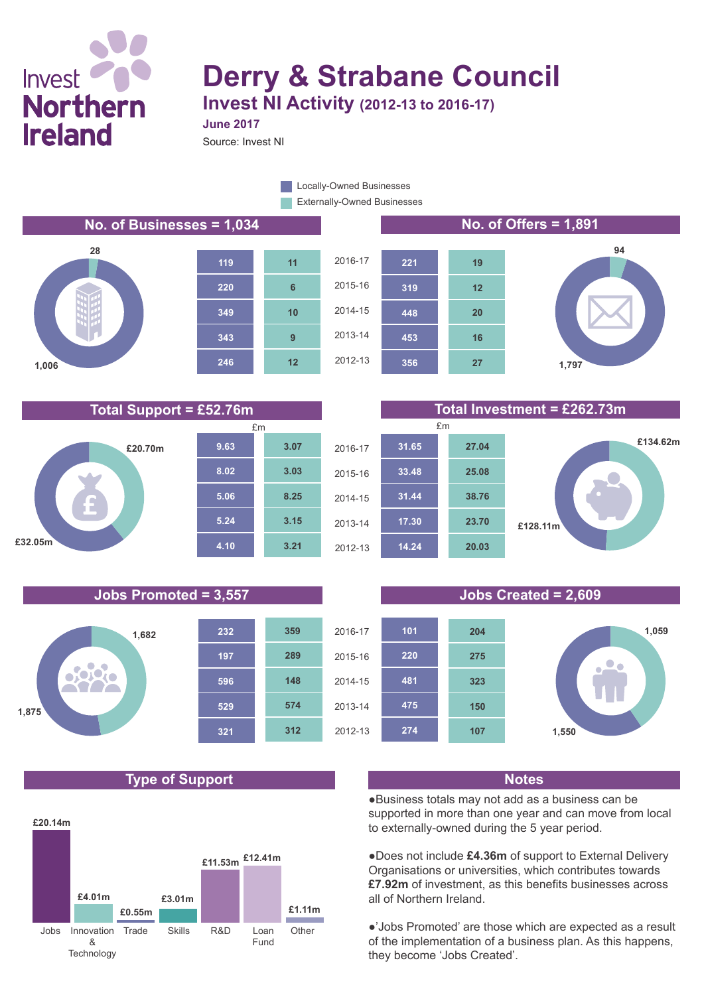# Invest<sup>1</sup> **Northern Ireland**

# **Derry & Strabane Council**

**Invest NI Activity (2012-13 to 2016-17)**

Source: Invest NI

**June 2017**

Externally-Owned Businesses Locally-Owned Businesses

### **No. of Businesses = 1,034 No. of Offers = 1,891**









### **Total Support = £52.76m Total Investment = £262.73m**





### **Jobs Promoted = 3,557 Jobs Created = 2,609**



## **Type of Support Notes**





●Business totals may not add as a business can be supported in more than one year and can move from local to externally-owned during the 5 year period.

●Does not include **£4.36m** of support to External Delivery Organisations or universities, which contributes towards **£7.92m** of investment, as this benefits businesses across all of Northern Ireland.

●'Jobs Promoted' are those which are expected as a result of the implementation of a business plan. As this happens, they become 'Jobs Created'.